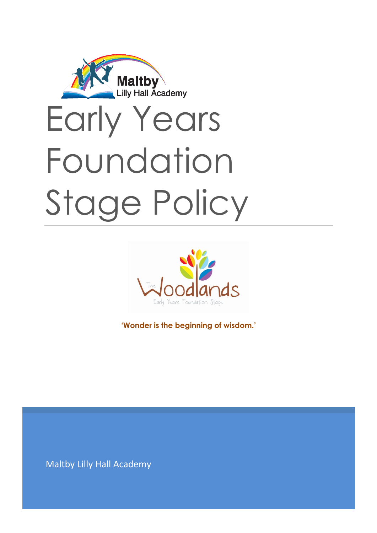



**'Wonder is the beginning of wisdom.'**

Maltby Lilly Hall Academy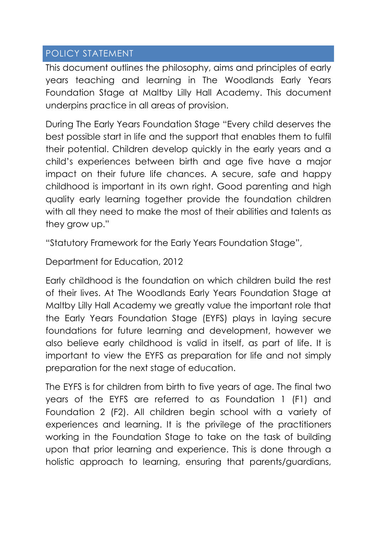### POLICY STATEMENT

This document outlines the philosophy, aims and principles of early years teaching and learning in The Woodlands Early Years Foundation Stage at Maltby Lilly Hall Academy. This document underpins practice in all areas of provision.

During The Early Years Foundation Stage "Every child deserves the best possible start in life and the support that enables them to fulfil their potential. Children develop quickly in the early years and a child's experiences between birth and age five have a major impact on their future life chances. A secure, safe and happy childhood is important in its own right. Good parenting and high quality early learning together provide the foundation children with all they need to make the most of their abilities and talents as they grow up."

"Statutory Framework for the Early Years Foundation Stage",

Department for Education, 2012

Early childhood is the foundation on which children build the rest of their lives. At The Woodlands Early Years Foundation Stage at Maltby Lilly Hall Academy we greatly value the important role that the Early Years Foundation Stage (EYFS) plays in laying secure foundations for future learning and development, however we also believe early childhood is valid in itself, as part of life. It is important to view the EYFS as preparation for life and not simply preparation for the next stage of education.

The EYFS is for children from birth to five years of age. The final two years of the EYFS are referred to as Foundation 1 (F1) and Foundation 2 (F2). All children begin school with a variety of experiences and learning. It is the privilege of the practitioners working in the Foundation Stage to take on the task of building upon that prior learning and experience. This is done through a holistic approach to learning, ensuring that parents/guardians,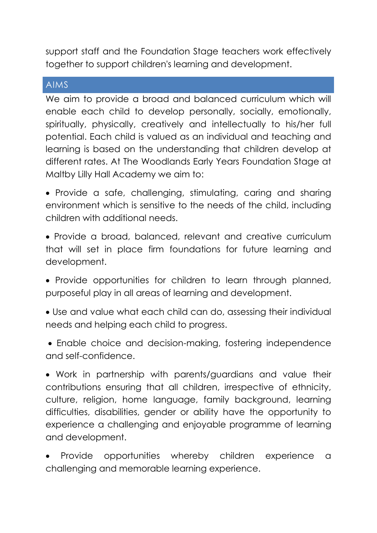support staff and the Foundation Stage teachers work effectively together to support children's learning and development.

#### AIMS

We aim to provide a broad and balanced curriculum which will enable each child to develop personally, socially, emotionally, spiritually, physically, creatively and intellectually to his/her full potential. Each child is valued as an individual and teaching and learning is based on the understanding that children develop at different rates. At The Woodlands Early Years Foundation Stage at Maltby Lilly Hall Academy we aim to:

 Provide a safe, challenging, stimulating, caring and sharing environment which is sensitive to the needs of the child, including children with additional needs.

 Provide a broad, balanced, relevant and creative curriculum that will set in place firm foundations for future learning and development.

• Provide opportunities for children to learn through planned, purposeful play in all areas of learning and development.

 Use and value what each child can do, assessing their individual needs and helping each child to progress.

 Enable choice and decision-making, fostering independence and self-confidence.

 Work in partnership with parents/guardians and value their contributions ensuring that all children, irrespective of ethnicity, culture, religion, home language, family background, learning difficulties, disabilities, gender or ability have the opportunity to experience a challenging and enjoyable programme of learning and development.

 Provide opportunities whereby children experience a challenging and memorable learning experience.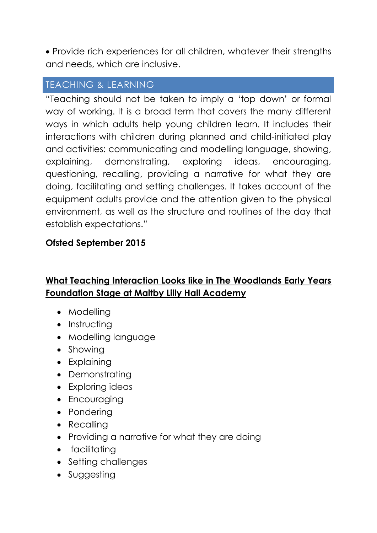Provide rich experiences for all children, whatever their strengths and needs, which are inclusive.

# TEACHING & LEARNING

"Teaching should not be taken to imply a 'top down' or formal way of working. It is a broad term that covers the many different ways in which adults help young children learn. It includes their interactions with children during planned and child-initiated play and activities: communicating and modelling language, showing, explaining, demonstrating, exploring ideas, encouraging, questioning, recalling, providing a narrative for what they are doing, facilitating and setting challenges. It takes account of the equipment adults provide and the attention given to the physical environment, as well as the structure and routines of the day that establish expectations."

## **Ofsted September 2015**

# **What Teaching Interaction Looks like in The Woodlands Early Years Foundation Stage at Maltby Lilly Hall Academy**

- Modelling
- Instructing
- Modelling language
- Showing
- Explaining
- Demonstrating
- Exploring ideas
- Encouraging
- Pondering
- Recalling
- Providing a narrative for what they are doing
- facilitatina
- Setting challenges
- Suggesting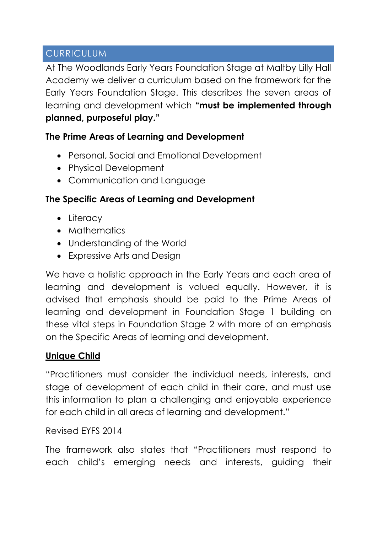## CURRICULUM

At The Woodlands Early Years Foundation Stage at Maltby Lilly Hall Academy we deliver a curriculum based on the framework for the Early Years Foundation Stage. This describes the seven areas of learning and development which **"must be implemented through planned, purposeful play."**

## **The Prime Areas of Learning and Development**

- Personal, Social and Emotional Development
- Physical Development
- Communication and Language

## **The Specific Areas of Learning and Development**

- Literacy
- Mathematics
- Understanding of the World
- Expressive Arts and Design

We have a holistic approach in the Early Years and each area of learning and development is valued equally. However, it is advised that emphasis should be paid to the Prime Areas of learning and development in Foundation Stage 1 building on these vital steps in Foundation Stage 2 with more of an emphasis on the Specific Areas of learning and development.

## **Unique Child**

"Practitioners must consider the individual needs, interests, and stage of development of each child in their care, and must use this information to plan a challenging and enjoyable experience for each child in all areas of learning and development."

### Revised EYFS 2014

The framework also states that "Practitioners must respond to each child's emerging needs and interests, guiding their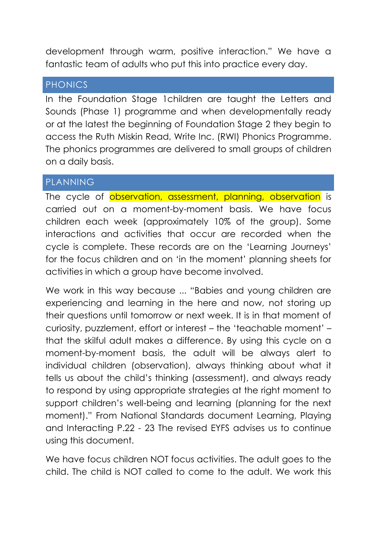development through warm, positive interaction." We have a fantastic team of adults who put this into practice every day.

#### PHONICS

In the Foundation Stage 1children are taught the Letters and Sounds (Phase 1) programme and when developmentally ready or at the latest the beginning of Foundation Stage 2 they begin to access the Ruth Miskin Read, Write Inc. (RWI) Phonics Programme. The phonics programmes are delivered to small groups of children on a daily basis.

## PLANNING

The cycle of observation, assessment, planning, observation is carried out on a moment-by-moment basis. We have focus children each week (approximately 10% of the group). Some interactions and activities that occur are recorded when the cycle is complete. These records are on the 'Learning Journeys' for the focus children and on 'in the moment' planning sheets for activities in which a group have become involved.

We work in this way because ... "Babies and young children are experiencing and learning in the here and now, not storing up their questions until tomorrow or next week. It is in that moment of curiosity, puzzlement, effort or interest – the 'teachable moment' – that the skilful adult makes a difference. By using this cycle on a moment-by-moment basis, the adult will be always alert to individual children (observation), always thinking about what it tells us about the child's thinking (assessment), and always ready to respond by using appropriate strategies at the right moment to support children's well-being and learning (planning for the next moment)." From National Standards document Learning, Playing and Interacting P.22 - 23 The revised EYFS advises us to continue using this document.

We have focus children NOT focus activities. The adult goes to the child. The child is NOT called to come to the adult. We work this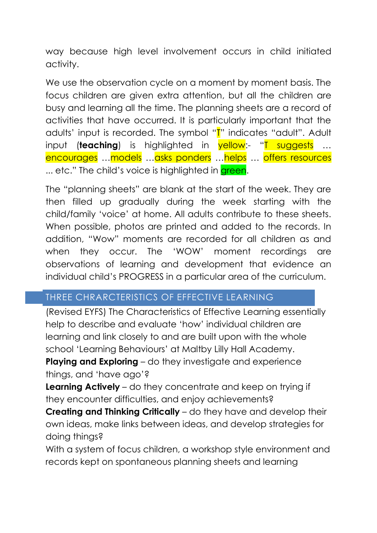way because high level involvement occurs in child initiated activity.

We use the observation cycle on a moment by moment basis. The focus children are given extra attention, but all the children are busy and learning all the time. The planning sheets are a record of activities that have occurred. It is particularly important that the adults' input is recorded. The symbol "T" indicates "adult". Adult input (**teaching**) is highlighted in **yellow:- "T suggests** ... encourages …models …asks ponders …helps … offers resources ... etc." The child's voice is highlighted in green.

The "planning sheets" are blank at the start of the week. They are then filled up gradually during the week starting with the child/family 'voice' at home. All adults contribute to these sheets. When possible, photos are printed and added to the records. In addition, "Wow" moments are recorded for all children as and when they occur. The 'WOW' moment recordings are observations of learning and development that evidence an individual child's PROGRESS in a particular area of the curriculum.

## THREE CHRARCTERISTICS OF EFFECTIVE LEARNING

(Revised EYFS) The Characteristics of Effective Learning essentially help to describe and evaluate 'how' individual children are learning and link closely to and are built upon with the whole school 'Learning Behaviours' at Maltby Lilly Hall Academy.

**Playing and Exploring** – do they investigate and experience things, and 'have ago'?

**Learning Actively** – do they concentrate and keep on trying if they encounter difficulties, and enjoy achievements?

**Creating and Thinking Critically** – do they have and develop their own ideas, make links between ideas, and develop strategies for doing things?

With a system of focus children, a workshop style environment and records kept on spontaneous planning sheets and learning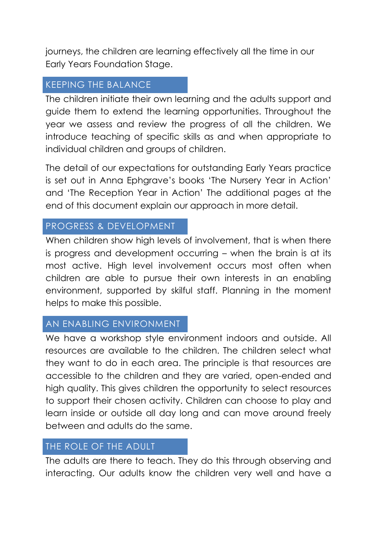journeys, the children are learning effectively all the time in our Early Years Foundation Stage.

## KEEPING THE BALANCE

The children initiate their own learning and the adults support and guide them to extend the learning opportunities. Throughout the year we assess and review the progress of all the children. We introduce teaching of specific skills as and when appropriate to individual children and groups of children.

The detail of our expectations for outstanding Early Years practice is set out in Anna Ephgrave's books 'The Nursery Year in Action' and 'The Reception Year in Action' The additional pages at the end of this document explain our approach in more detail.

## PROGRESS & DEVELOPMENT

When children show high levels of involvement, that is when there is progress and development occurring – when the brain is at its most active. High level involvement occurs most often when children are able to pursue their own interests in an enabling environment, supported by skilful staff. Planning in the moment helps to make this possible.

### AN ENABLING ENVIRONMENT

We have a workshop style environment indoors and outside. All resources are available to the children. The children select what they want to do in each area. The principle is that resources are accessible to the children and they are varied, open-ended and high quality. This gives children the opportunity to select resources to support their chosen activity. Children can choose to play and learn inside or outside all day long and can move around freely between and adults do the same.

## THE ROLE OF THE ADULT

The adults are there to teach. They do this through observing and interacting. Our adults know the children very well and have a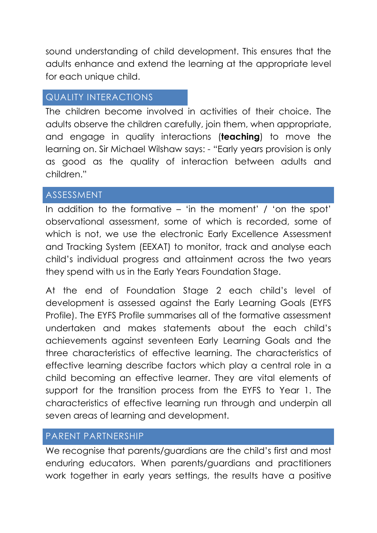sound understanding of child development. This ensures that the adults enhance and extend the learning at the appropriate level for each unique child.

### QUALITY INTERACTIONS

The children become involved in activities of their choice. The adults observe the children carefully, join them, when appropriate, and engage in quality interactions (**teaching**) to move the learning on. Sir Michael Wilshaw says: - "Early years provision is only as good as the quality of interaction between adults and children."

### **ASSESSMENT**

In addition to the formative – 'in the moment' / 'on the spot' observational assessment, some of which is recorded, some of which is not, we use the electronic Early Excellence Assessment and Tracking System (EEXAT) to monitor, track and analyse each child's individual progress and attainment across the two years they spend with us in the Early Years Foundation Stage.

At the end of Foundation Stage 2 each child's level of development is assessed against the Early Learning Goals (EYFS Profile). The EYFS Profile summarises all of the formative assessment undertaken and makes statements about the each child's achievements against seventeen Early Learning Goals and the three characteristics of effective learning. The characteristics of effective learning describe factors which play a central role in a child becoming an effective learner. They are vital elements of support for the transition process from the EYFS to Year 1. The characteristics of effective learning run through and underpin all seven areas of learning and development.

### PARENT PARTNERSHIP

We recognise that parents/guardians are the child's first and most enduring educators. When parents/guardians and practitioners work together in early years settings, the results have a positive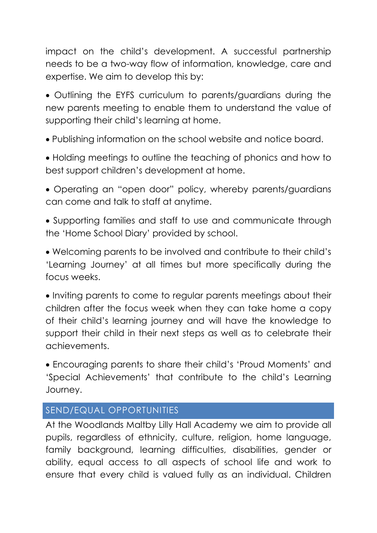impact on the child's development. A successful partnership needs to be a two-way flow of information, knowledge, care and expertise. We aim to develop this by:

 Outlining the EYFS curriculum to parents/guardians during the new parents meeting to enable them to understand the value of supporting their child's learning at home.

Publishing information on the school website and notice board.

 Holding meetings to outline the teaching of phonics and how to best support children's development at home.

 Operating an "open door" policy, whereby parents/guardians can come and talk to staff at anytime.

 Supporting families and staff to use and communicate through the 'Home School Diary' provided by school.

 Welcoming parents to be involved and contribute to their child's 'Learning Journey' at all times but more specifically during the focus weeks.

• Inviting parents to come to regular parents meetings about their children after the focus week when they can take home a copy of their child's learning journey and will have the knowledge to support their child in their next steps as well as to celebrate their achievements.

 Encouraging parents to share their child's 'Proud Moments' and 'Special Achievements' that contribute to the child's Learning Journey.

## SEND/EQUAL OPPORTUNITIES

At the Woodlands Maltby Lilly Hall Academy we aim to provide all pupils, regardless of ethnicity, culture, religion, home language, family background, learning difficulties, disabilities, gender or ability, equal access to all aspects of school life and work to ensure that every child is valued fully as an individual. Children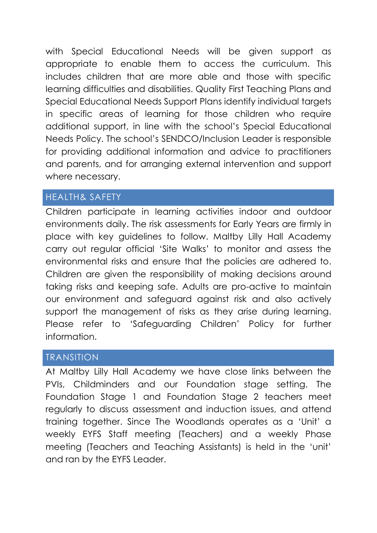with Special Educational Needs will be given support as appropriate to enable them to access the curriculum. This includes children that are more able and those with specific learning difficulties and disabilities. Quality First Teaching Plans and Special Educational Needs Support Plans identify individual targets in specific areas of learning for those children who require additional support, in line with the school's Special Educational Needs Policy. The school's SENDCO/Inclusion Leader is responsible for providing additional information and advice to practitioners and parents, and for arranging external intervention and support where necessary.

### HEALTH& SAFETY

Children participate in learning activities indoor and outdoor environments daily. The risk assessments for Early Years are firmly in place with key guidelines to follow. Maltby Lilly Hall Academy carry out regular official 'Site Walks' to monitor and assess the environmental risks and ensure that the policies are adhered to. Children are given the responsibility of making decisions around taking risks and keeping safe. Adults are pro-active to maintain our environment and safeguard against risk and also actively support the management of risks as they arise during learning. Please refer to 'Safeguarding Children' Policy for further information.

### TRANSITION

At Maltby Lilly Hall Academy we have close links between the PVIs, Childminders and our Foundation stage setting. The Foundation Stage 1 and Foundation Stage 2 teachers meet regularly to discuss assessment and induction issues, and attend training together. Since The Woodlands operates as a 'Unit' a weekly EYFS Staff meeting (Teachers) and a weekly Phase meeting (Teachers and Teaching Assistants) is held in the 'unit' and ran by the EYFS Leader.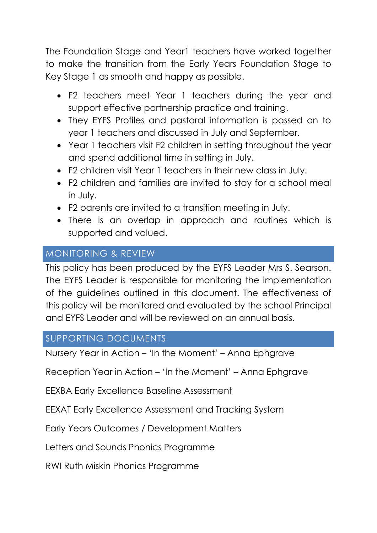The Foundation Stage and Year1 teachers have worked together to make the transition from the Early Years Foundation Stage to Key Stage 1 as smooth and happy as possible.

- F2 teachers meet Year 1 teachers during the year and support effective partnership practice and training.
- They EYFS Profiles and pastoral information is passed on to year 1 teachers and discussed in July and September.
- Year 1 teachers visit F2 children in setting throughout the year and spend additional time in setting in July.
- F2 children visit Year 1 teachers in their new class in July.
- F2 children and families are invited to stay for a school meal in July.
- F2 parents are invited to a transition meeting in July.
- There is an overlap in approach and routines which is supported and valued.

## MONITORING & REVIEW

This policy has been produced by the EYFS Leader Mrs S. Searson. The EYFS Leader is responsible for monitoring the implementation of the guidelines outlined in this document. The effectiveness of this policy will be monitored and evaluated by the school Principal and EYFS Leader and will be reviewed on an annual basis.

## SUPPORTING DOCUMENTS

Nursery Year in Action – 'In the Moment' – Anna Ephgrave

Reception Year in Action – 'In the Moment' – Anna Ephgrave

EEXBA Early Excellence Baseline Assessment

EEXAT Early Excellence Assessment and Tracking System

Early Years Outcomes / Development Matters

Letters and Sounds Phonics Programme

RWI Ruth Miskin Phonics Programme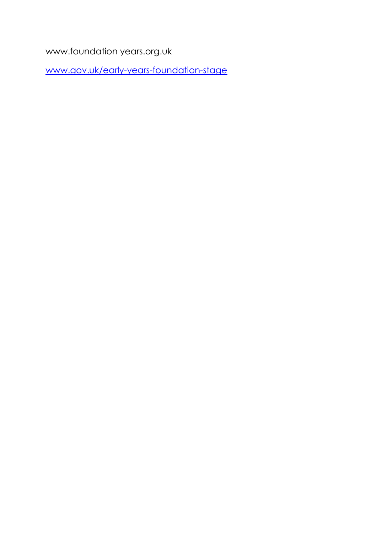www.foundation years.org.uk

[www.gov.uk/early-years-foundation-stage](http://www.gov.uk/early-years-foundation-stage)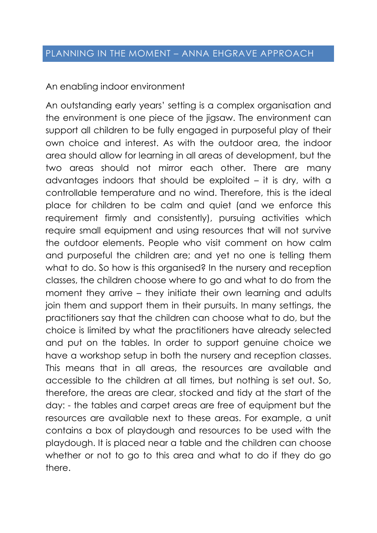An enabling indoor environment

An outstanding early years' setting is a complex organisation and the environment is one piece of the jigsaw. The environment can support all children to be fully engaged in purposeful play of their own choice and interest. As with the outdoor area, the indoor area should allow for learning in all areas of development, but the two areas should not mirror each other. There are many advantages indoors that should be exploited – it is dry, with a controllable temperature and no wind. Therefore, this is the ideal place for children to be calm and quiet (and we enforce this requirement firmly and consistently), pursuing activities which require small equipment and using resources that will not survive the outdoor elements. People who visit comment on how calm and purposeful the children are; and yet no one is telling them what to do. So how is this organised? In the nursery and reception classes, the children choose where to go and what to do from the moment they arrive – they initiate their own learning and adults join them and support them in their pursuits. In many settings, the practitioners say that the children can choose what to do, but the choice is limited by what the practitioners have already selected and put on the tables. In order to support genuine choice we have a workshop setup in both the nursery and reception classes. This means that in all areas, the resources are available and accessible to the children at all times, but nothing is set out. So, therefore, the areas are clear, stocked and tidy at the start of the day: - the tables and carpet areas are free of equipment but the resources are available next to these areas. For example, a unit contains a box of playdough and resources to be used with the playdough. It is placed near a table and the children can choose whether or not to go to this area and what to do if they do go there.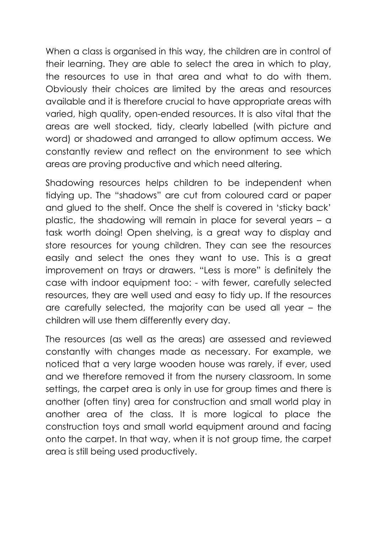When a class is organised in this way, the children are in control of their learning. They are able to select the area in which to play, the resources to use in that area and what to do with them. Obviously their choices are limited by the areas and resources available and it is therefore crucial to have appropriate areas with varied, high quality, open-ended resources. It is also vital that the areas are well stocked, tidy, clearly labelled (with picture and word) or shadowed and arranged to allow optimum access. We constantly review and reflect on the environment to see which areas are proving productive and which need altering.

Shadowing resources helps children to be independent when tidying up. The "shadows" are cut from coloured card or paper and glued to the shelf. Once the shelf is covered in 'sticky back' plastic, the shadowing will remain in place for several years – a task worth doing! Open shelving, is a great way to display and store resources for young children. They can see the resources easily and select the ones they want to use. This is a great improvement on trays or drawers. "Less is more" is definitely the case with indoor equipment too: - with fewer, carefully selected resources, they are well used and easy to tidy up. If the resources are carefully selected, the majority can be used all year – the children will use them differently every day.

The resources (as well as the areas) are assessed and reviewed constantly with changes made as necessary. For example, we noticed that a very large wooden house was rarely, if ever, used and we therefore removed it from the nursery classroom. In some settings, the carpet area is only in use for group times and there is another (often tiny) area for construction and small world play in another area of the class. It is more logical to place the construction toys and small world equipment around and facing onto the carpet. In that way, when it is not group time, the carpet area is still being used productively.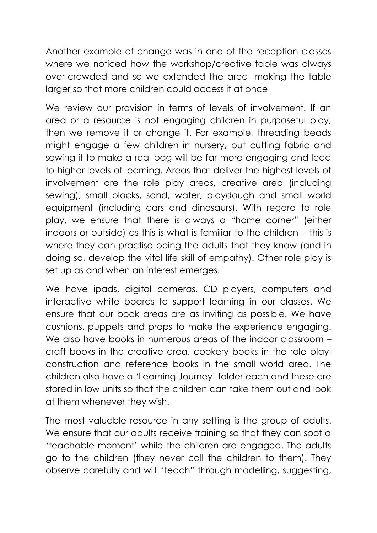Another example of change was in one of the reception classes where we noticed how the workshop/creative table was always over-crowded and so we extended the area, making the table larger so that more children could access it at once

We review our provision in terms of levels of involvement. If an area or a resource is not engaging children in purposeful play, then we remove it or change it. For example, threading beads might engage a few children in nursery, but cutting fabric and sewing it to make a real bag will be far more engaging and lead to higher levels of learning. Areas that deliver the highest levels of involvement are the role play areas, creative area (including sewing), small blocks, sand, water, playdough and small world equipment (including cars and dinosaurs). With regard to role play, we ensure that there is always a "home corner" (either indoors or outside) as this is what is familiar to the children – this is where they can practise being the adults that they know (and in doing so, develop the vital life skill of empathy). Other role play is set up as and when an interest emerges.

We have ipads, digital cameras, CD players, computers and interactive white boards to support learning in our classes. We ensure that our book areas are as inviting as possible. We have cushions, puppets and props to make the experience engaging. We also have books in numerous areas of the indoor classroom – craft books in the creative area, cookery books in the role play, construction and reference books in the small world area. The children also have a 'Learning Journey' folder each and these are stored in low units so that the children can take them out and look at them whenever they wish.

The most valuable resource in any setting is the group of adults. We ensure that our adults receive training so that they can spot a 'teachable moment' while the children are engaged. The adults go to the children (they never call the children to them). They observe carefully and will "teach" through modelling, suggesting,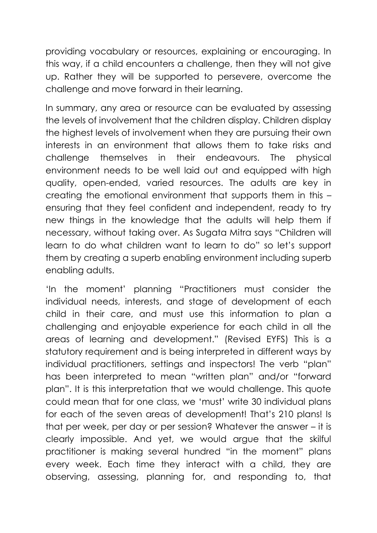providing vocabulary or resources, explaining or encouraging. In this way, if a child encounters a challenge, then they will not give up. Rather they will be supported to persevere, overcome the challenge and move forward in their learning.

In summary, any area or resource can be evaluated by assessing the levels of involvement that the children display. Children display the highest levels of involvement when they are pursuing their own interests in an environment that allows them to take risks and challenge themselves in their endeavours. The physical environment needs to be well laid out and equipped with high quality, open-ended, varied resources. The adults are key in creating the emotional environment that supports them in this – ensuring that they feel confident and independent, ready to try new things in the knowledge that the adults will help them if necessary, without taking over. As Sugata Mitra says "Children will learn to do what children want to learn to do" so let's support them by creating a superb enabling environment including superb enabling adults.

'In the moment' planning "Practitioners must consider the individual needs, interests, and stage of development of each child in their care, and must use this information to plan a challenging and enjoyable experience for each child in all the areas of learning and development." (Revised EYFS) This is a statutory requirement and is being interpreted in different ways by individual practitioners, settings and inspectors! The verb "plan" has been interpreted to mean "written plan" and/or "forward plan". It is this interpretation that we would challenge. This quote could mean that for one class, we 'must' write 30 individual plans for each of the seven areas of development! That's 210 plans! Is that per week, per day or per session? Whatever the answer – it is clearly impossible. And yet, we would argue that the skilful practitioner is making several hundred "in the moment" plans every week. Each time they interact with a child, they are observing, assessing, planning for, and responding to, that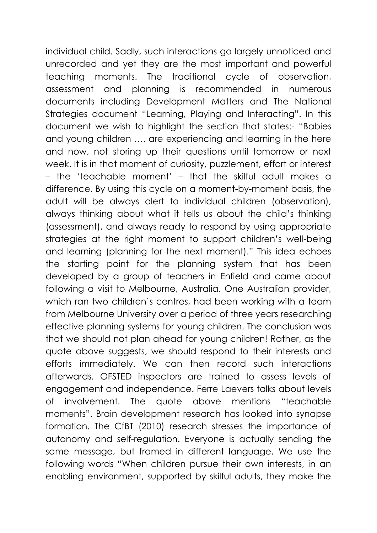individual child. Sadly, such interactions go largely unnoticed and unrecorded and yet they are the most important and powerful teaching moments. The traditional cycle of observation, assessment and planning is recommended in numerous documents including Development Matters and The National Strategies document "Learning, Playing and Interacting". In this document we wish to highlight the section that states:- "Babies and young children …. are experiencing and learning in the here and now, not storing up their questions until tomorrow or next week. It is in that moment of curiosity, puzzlement, effort or interest – the 'teachable moment' – that the skilful adult makes a difference. By using this cycle on a moment-by-moment basis, the adult will be always alert to individual children (observation), always thinking about what it tells us about the child's thinking (assessment), and always ready to respond by using appropriate strategies at the right moment to support children's well-being and learning (planning for the next moment)." This idea echoes the starting point for the planning system that has been developed by a group of teachers in Enfield and came about following a visit to Melbourne, Australia. One Australian provider, which ran two children's centres, had been working with a team from Melbourne University over a period of three years researching effective planning systems for young children. The conclusion was that we should not plan ahead for young children! Rather, as the quote above suggests, we should respond to their interests and efforts immediately. We can then record such interactions afterwards. OFSTED inspectors are trained to assess levels of engagement and independence. Ferre Laevers talks about levels of involvement. The quote above mentions "teachable moments". Brain development research has looked into synapse formation. The CfBT (2010) research stresses the importance of autonomy and self-regulation. Everyone is actually sending the same message, but framed in different language. We use the following words "When children pursue their own interests, in an enabling environment, supported by skilful adults, they make the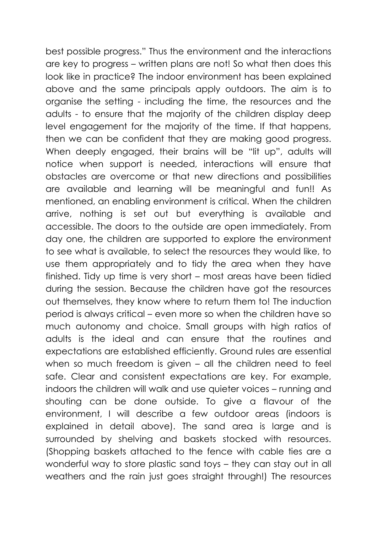best possible progress." Thus the environment and the interactions are key to progress – written plans are not! So what then does this look like in practice? The indoor environment has been explained above and the same principals apply outdoors. The aim is to organise the setting - including the time, the resources and the adults - to ensure that the majority of the children display deep level engagement for the majority of the time. If that happens, then we can be confident that they are making good progress. When deeply engaged, their brains will be "lit up", adults will notice when support is needed, interactions will ensure that obstacles are overcome or that new directions and possibilities are available and learning will be meaningful and fun!! As mentioned, an enabling environment is critical. When the children arrive, nothing is set out but everything is available and accessible. The doors to the outside are open immediately. From day one, the children are supported to explore the environment to see what is available, to select the resources they would like, to use them appropriately and to tidy the area when they have finished. Tidy up time is very short – most areas have been tidied during the session. Because the children have got the resources out themselves, they know where to return them to! The induction period is always critical – even more so when the children have so much autonomy and choice. Small groups with high ratios of adults is the ideal and can ensure that the routines and expectations are established efficiently. Ground rules are essential when so much freedom is given – all the children need to feel safe. Clear and consistent expectations are key. For example, indoors the children will walk and use quieter voices – running and shouting can be done outside. To give a flavour of the environment, I will describe a few outdoor areas (indoors is explained in detail above). The sand area is large and is surrounded by shelving and baskets stocked with resources. (Shopping baskets attached to the fence with cable ties are a wonderful way to store plastic sand toys – they can stay out in all weathers and the rain just goes straight through!) The resources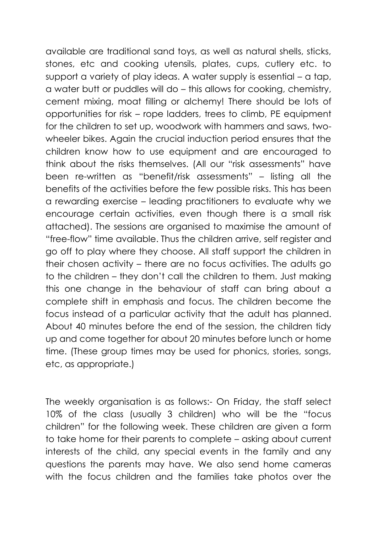available are traditional sand toys, as well as natural shells, sticks, stones, etc and cooking utensils, plates, cups, cutlery etc. to support a variety of play ideas. A water supply is essential – a tap, a water butt or puddles will do – this allows for cooking, chemistry, cement mixing, moat filling or alchemy! There should be lots of opportunities for risk – rope ladders, trees to climb, PE equipment for the children to set up, woodwork with hammers and saws, twowheeler bikes. Again the crucial induction period ensures that the children know how to use equipment and are encouraged to think about the risks themselves. (All our "risk assessments" have been re-written as "benefit/risk assessments" – listing all the benefits of the activities before the few possible risks. This has been a rewarding exercise – leading practitioners to evaluate why we encourage certain activities, even though there is a small risk attached). The sessions are organised to maximise the amount of "free-flow" time available. Thus the children arrive, self register and go off to play where they choose. All staff support the children in their chosen activity – there are no focus activities. The adults go to the children – they don't call the children to them. Just making this one change in the behaviour of staff can bring about a complete shift in emphasis and focus. The children become the focus instead of a particular activity that the adult has planned. About 40 minutes before the end of the session, the children tidy up and come together for about 20 minutes before lunch or home time. (These group times may be used for phonics, stories, songs, etc, as appropriate.)

The weekly organisation is as follows:- On Friday, the staff select 10% of the class (usually 3 children) who will be the "focus children" for the following week. These children are given a form to take home for their parents to complete – asking about current interests of the child, any special events in the family and any questions the parents may have. We also send home cameras with the focus children and the families take photos over the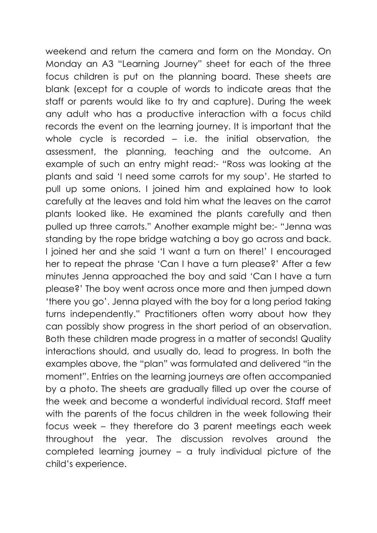weekend and return the camera and form on the Monday. On Monday an A3 "Learning Journey" sheet for each of the three focus children is put on the planning board. These sheets are blank (except for a couple of words to indicate areas that the staff or parents would like to try and capture). During the week any adult who has a productive interaction with a focus child records the event on the learning journey. It is important that the whole cycle is recorded  $-$  i.e. the initial observation, the assessment, the planning, teaching and the outcome. An example of such an entry might read:- "Ross was looking at the plants and said 'I need some carrots for my soup'. He started to pull up some onions. I joined him and explained how to look carefully at the leaves and told him what the leaves on the carrot plants looked like. He examined the plants carefully and then pulled up three carrots." Another example might be:- "Jenna was standing by the rope bridge watching a boy go across and back. I joined her and she said 'I want a turn on there!' I encouraged her to repeat the phrase 'Can I have a turn please?' After a few minutes Jenna approached the boy and said 'Can I have a turn please?' The boy went across once more and then jumped down 'there you go'. Jenna played with the boy for a long period taking turns independently." Practitioners often worry about how they can possibly show progress in the short period of an observation. Both these children made progress in a matter of seconds! Quality interactions should, and usually do, lead to progress. In both the examples above, the "plan" was formulated and delivered "in the moment". Entries on the learning journeys are often accompanied by a photo. The sheets are gradually filled up over the course of the week and become a wonderful individual record. Staff meet with the parents of the focus children in the week following their focus week – they therefore do 3 parent meetings each week throughout the year. The discussion revolves around the completed learning journey – a truly individual picture of the child's experience.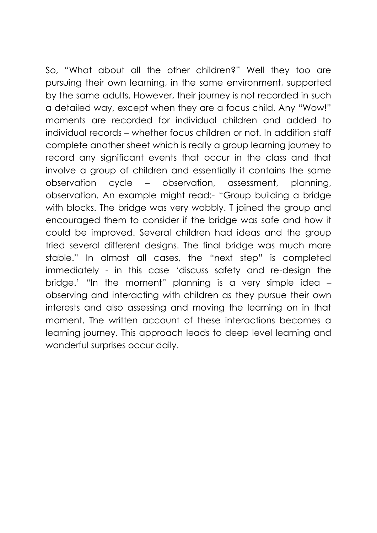So, "What about all the other children?" Well they too are pursuing their own learning, in the same environment, supported by the same adults. However, their journey is not recorded in such a detailed way, except when they are a focus child. Any "Wow!" moments are recorded for individual children and added to individual records – whether focus children or not. In addition staff complete another sheet which is really a group learning journey to record any significant events that occur in the class and that involve a group of children and essentially it contains the same observation cycle – observation, assessment, planning, observation. An example might read:- "Group building a bridge with blocks. The bridge was very wobbly. T joined the group and encouraged them to consider if the bridge was safe and how it could be improved. Several children had ideas and the group tried several different designs. The final bridge was much more stable." In almost all cases, the "next step" is completed immediately - in this case 'discuss safety and re-design the bridge.' "In the moment" planning is a very simple idea – observing and interacting with children as they pursue their own interests and also assessing and moving the learning on in that moment. The written account of these interactions becomes a learning journey. This approach leads to deep level learning and wonderful surprises occur daily.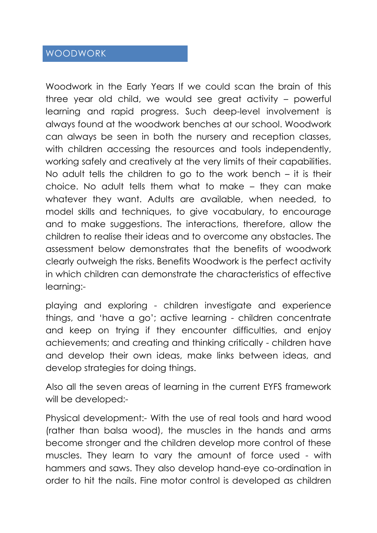### WOODWORK

Woodwork in the Early Years If we could scan the brain of this three year old child, we would see great activity – powerful learning and rapid progress. Such deep-level involvement is always found at the woodwork benches at our school. Woodwork can always be seen in both the nursery and reception classes, with children accessing the resources and tools independently, working safely and creatively at the very limits of their capabilities. No adult tells the children to go to the work bench – it is their choice. No adult tells them what to make – they can make whatever they want. Adults are available, when needed, to model skills and techniques, to give vocabulary, to encourage and to make suggestions. The interactions, therefore, allow the children to realise their ideas and to overcome any obstacles. The assessment below demonstrates that the benefits of woodwork clearly outweigh the risks. Benefits Woodwork is the perfect activity in which children can demonstrate the characteristics of effective learning:-

playing and exploring - children investigate and experience things, and 'have a go'; active learning - children concentrate and keep on trying if they encounter difficulties, and enjoy achievements; and creating and thinking critically - children have and develop their own ideas, make links between ideas, and develop strategies for doing things.

Also all the seven areas of learning in the current EYFS framework will be developed:-

Physical development:- With the use of real tools and hard wood (rather than balsa wood), the muscles in the hands and arms become stronger and the children develop more control of these muscles. They learn to vary the amount of force used - with hammers and saws. They also develop hand-eye co-ordination in order to hit the nails. Fine motor control is developed as children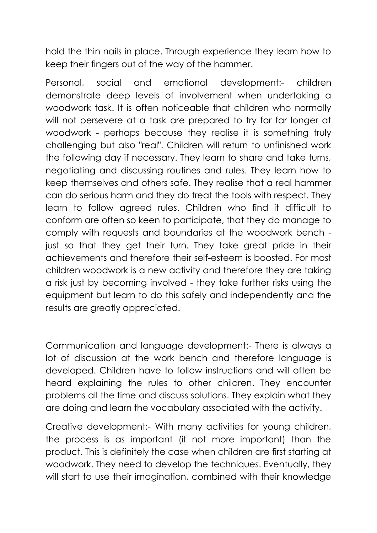hold the thin nails in place. Through experience they learn how to keep their fingers out of the way of the hammer.

Personal, social and emotional development:- children demonstrate deep levels of involvement when undertaking a woodwork task. It is often noticeable that children who normally will not persevere at a task are prepared to try for far longer at woodwork - perhaps because they realise it is something truly challenging but also "real". Children will return to unfinished work the following day if necessary. They learn to share and take turns, negotiating and discussing routines and rules. They learn how to keep themselves and others safe. They realise that a real hammer can do serious harm and they do treat the tools with respect. They learn to follow agreed rules. Children who find it difficult to conform are often so keen to participate, that they do manage to comply with requests and boundaries at the woodwork bench just so that they get their turn. They take great pride in their achievements and therefore their self-esteem is boosted. For most children woodwork is a new activity and therefore they are taking a risk just by becoming involved - they take further risks using the equipment but learn to do this safely and independently and the results are greatly appreciated.

Communication and language development:- There is always a lot of discussion at the work bench and therefore language is developed. Children have to follow instructions and will often be heard explaining the rules to other children. They encounter problems all the time and discuss solutions. They explain what they are doing and learn the vocabulary associated with the activity.

Creative development:- With many activities for young children, the process is as important (if not more important) than the product. This is definitely the case when children are first starting at woodwork. They need to develop the techniques. Eventually, they will start to use their imagination, combined with their knowledge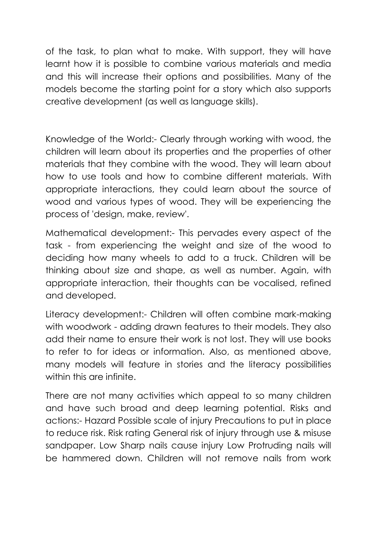of the task, to plan what to make. With support, they will have learnt how it is possible to combine various materials and media and this will increase their options and possibilities. Many of the models become the starting point for a story which also supports creative development (as well as language skills).

Knowledge of the World:- Clearly through working with wood, the children will learn about its properties and the properties of other materials that they combine with the wood. They will learn about how to use tools and how to combine different materials. With appropriate interactions, they could learn about the source of wood and various types of wood. They will be experiencing the process of 'design, make, review'.

Mathematical development:- This pervades every aspect of the task - from experiencing the weight and size of the wood to deciding how many wheels to add to a truck. Children will be thinking about size and shape, as well as number. Again, with appropriate interaction, their thoughts can be vocalised, refined and developed.

Literacy development:- Children will often combine mark-making with woodwork - adding drawn features to their models. They also add their name to ensure their work is not lost. They will use books to refer to for ideas or information. Also, as mentioned above, many models will feature in stories and the literacy possibilities within this are infinite.

There are not many activities which appeal to so many children and have such broad and deep learning potential. Risks and actions:- Hazard Possible scale of injury Precautions to put in place to reduce risk. Risk rating General risk of injury through use & misuse sandpaper. Low Sharp nails cause injury Low Protruding nails will be hammered down. Children will not remove nails from work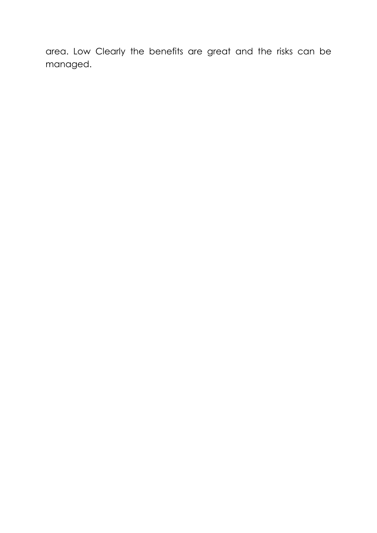area. Low Clearly the benefits are great and the risks can be managed.